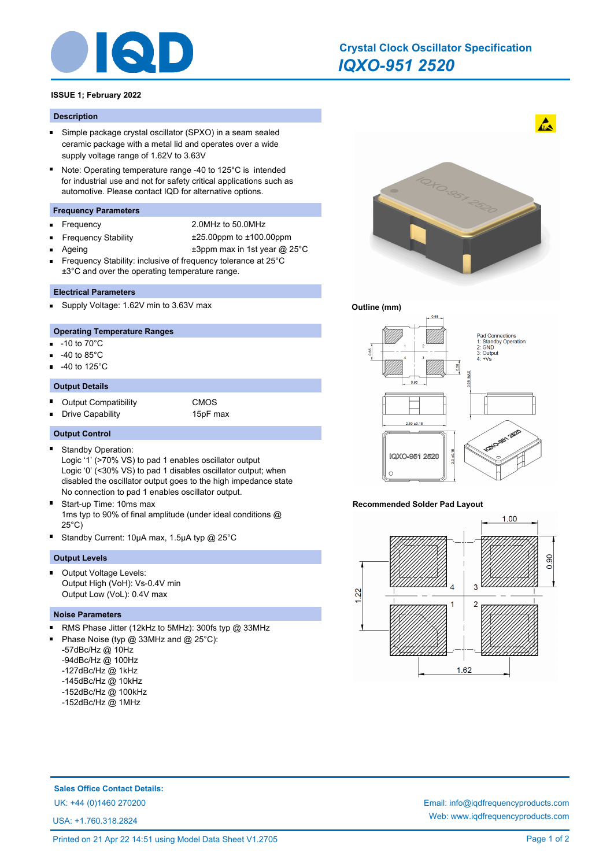

# *IQXO-951 2520* **Crystal Clock Oscillator Specification**

# **ISSUE 1; February 2022**

#### **Description**

- $\blacksquare$ Simple package crystal oscillator (SPXO) in a seam sealed ceramic package with a metal lid and operates over a wide supply voltage range of 1.62V to 3.63V
- $\blacksquare$ Note: Operating temperature range -40 to 125°C is intended for industrial use and not for safety critical applications such as automotive. Please contact IQD for alternative options.

## **Frequency Parameters**

- É
- Frequency 2.0MHz to 50.0MHz
- Ē
- Frequency Stability ±25.00ppm to ±100.00ppm
	- Ageing  $\pm 3$ ppm max in 1st year @ 25°C
- Frequency Stability: inclusive of frequency tolerance at 25°C ±3°C and over the operating temperature range.

## **Electrical Parameters**

Supply Voltage: 1.62V min to 3.63V max

## **Operating Temperature Ranges**

- n. -10 to 70°C
- -40 to 85°C
- -40 to 125°C

# **Output Details**

- Ė Output Compatibility **CMOS**
- Drive Capability 15pF max E

#### **Output Control**

Standby Operation: п

Logic '1' (>70% VS) to pad 1 enables oscillator output Logic '0' (<30% VS) to pad 1 disables oscillator output; when disabled the oscillator output goes to the high impedance state No connection to pad 1 enables oscillator output.

- Start-up Time: 10ms max 1ms typ to 90% of final amplitude (under ideal conditions @ 25°C)
- Standby Current: 10µA max, 1.5µA typ @ 25°C

## **Output Levels**

Output Voltage Levels: Output High (VoH): Vs-0.4V min Output Low (VoL): 0.4V max

## **Noise Parameters**

- RMS Phase Jitter (12kHz to 5MHz): 300fs typ @ 33MHz n.
- Phase Noise (typ @ 33MHz and @ 25°C):
- -57dBc/Hz @ 10Hz
- -94dBc/Hz @ 100Hz
- -127dBc/Hz @ 1kHz
- -145dBc/Hz @ 10kHz
- -152dBc/Hz @ 100kHz
- -152dBc/Hz @ 1MHz



# **Outline (mm)**



## **Recommended Solder Pad Layout**



**Sales Office Contact Details:**

USA: +1.760.318.2824

UK: +44 (0)1460 270200 Email: info@iqdfrequencyproducts.com Web: www.iqdfrequencyproducts.com